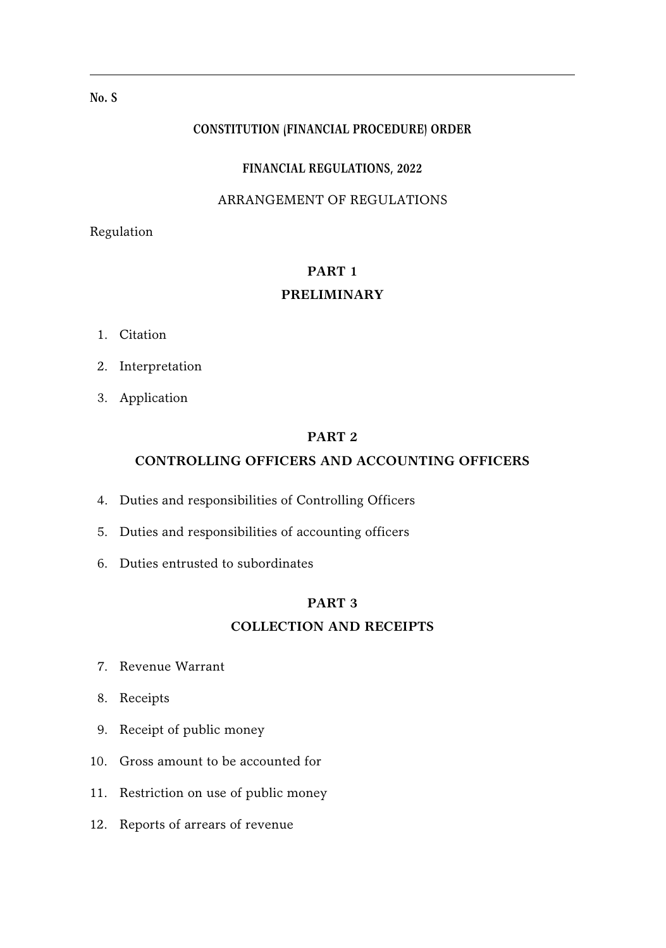# **No. S**

#### **CONSTITUTION (FINANCIAL PROCEDURE) ORDER**

#### **FINANCIAL REGULATIONS, 2022**

# ARRANGEMENT OF REGULATIONS

Regulation

# **PART 1 PRELIMINARY**

- 1. Citation
- 2. Interpretation
- 3. Application

# **PART 2**

# **CONTROLLING OFFICERS AND ACCOUNTING OFFICERS**

- 4. Duties and responsibilities of Controlling Officers
- 5. Duties and responsibilities of accounting officers
- 6. Duties entrusted to subordinates

# **PART 3**

## **COLLECTION AND RECEIPTS**

- 7. Revenue Warrant
- 8. Receipts
- 9. Receipt of public money
- 10. Gross amount to be accounted for
- 11. Restriction on use of public money
- 12. Reports of arrears of revenue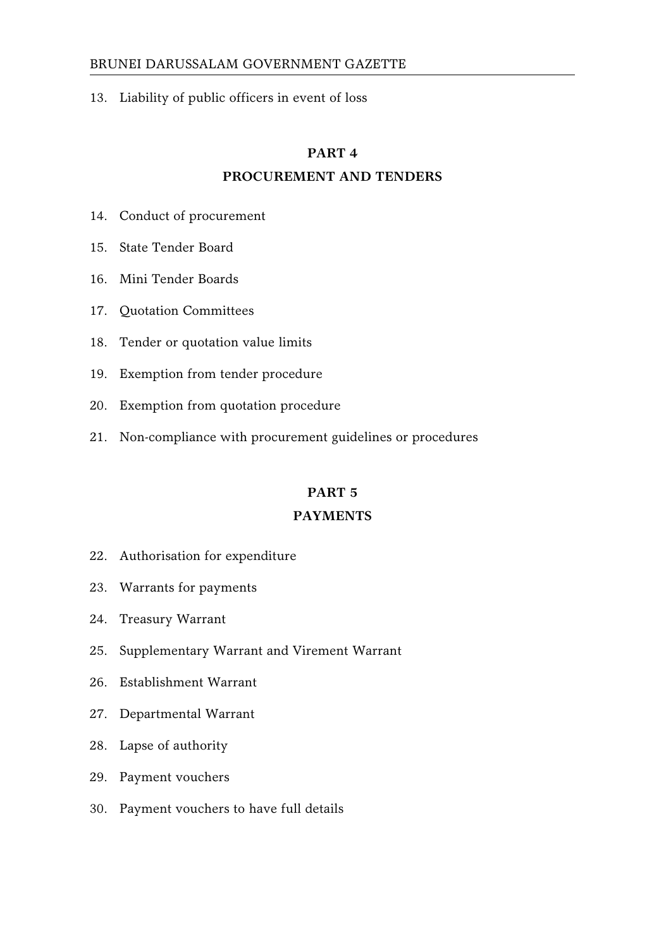13. Liability of public officers in event of loss

#### **PART 4**

# **PROCUREMENT AND TENDERS**

- 14. Conduct of procurement
- 15. State Tender Board
- 16. Mini Tender Boards
- 17. Quotation Committees
- 18. Tender or quotation value limits
- 19. Exemption from tender procedure
- 20. Exemption from quotation procedure
- 21. Non-compliance with procurement guidelines or procedures

# **PART 5**

## **PAYMENTS**

- 22. Authorisation for expenditure
- 23. Warrants for payments
- 24. Treasury Warrant
- 25. Supplementary Warrant and Virement Warrant
- 26. Establishment Warrant
- 27. Departmental Warrant
- 28. Lapse of authority
- 29. Payment vouchers
- 30. Payment vouchers to have full details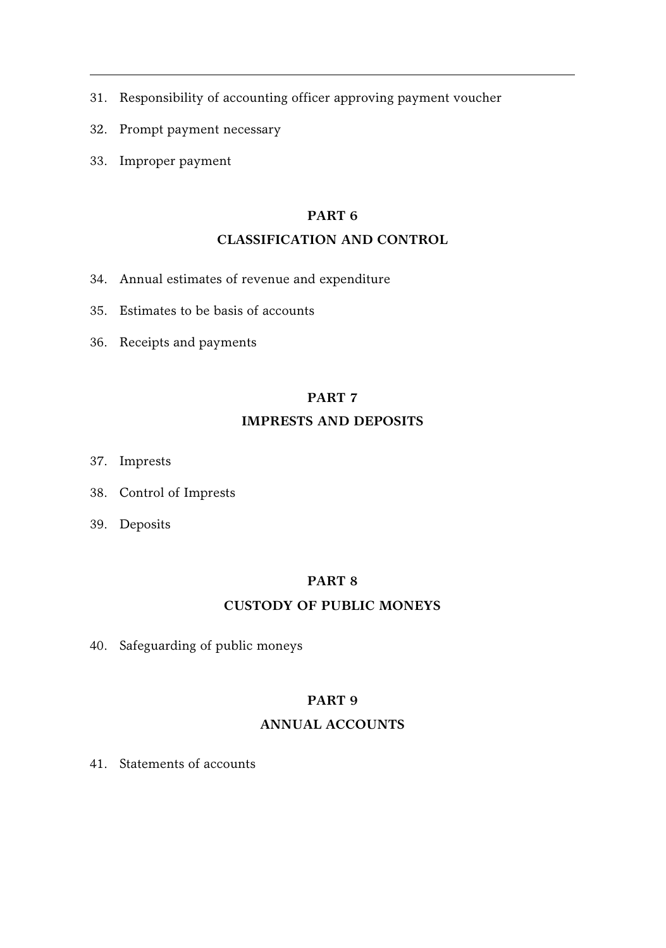- 31. Responsibility of accounting officer approving payment voucher
- 32. Prompt payment necessary
- 33. Improper payment

# **PART 6**

# **CLASSIFICATION AND CONTROL**

- 34. Annual estimates of revenue and expenditure
- 35. Estimates to be basis of accounts
- 36. Receipts and payments

# **PART 7**

## **IMPRESTS AND DEPOSITS**

- 37. Imprests
- 38. Control of Imprests
- 39. Deposits

# **PART 8**

## **CUSTODY OF PUBLIC MONEYS**

40. Safeguarding of public moneys

# **PART 9**

## **ANNUAL ACCOUNTS**

41. Statements of accounts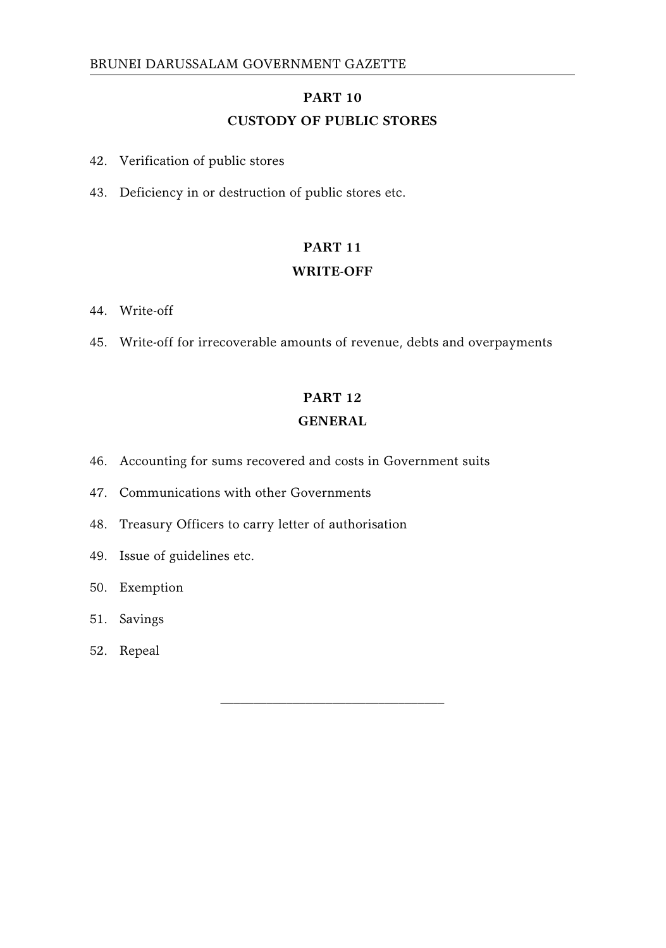# **PART 10 CUSTODY OF PUBLIC STORES**

- 42. Verification of public stores
- 43. Deficiency in or destruction of public stores etc.

# **PART 11**

#### **WRITE-OFF**

- 44. Write-off
- 45. Write-off for irrecoverable amounts of revenue, debts and overpayments

# **PART 12**

# **GENERAL**

\_\_\_\_\_\_\_\_\_\_\_\_\_\_\_\_\_\_\_\_\_\_\_\_\_\_\_\_\_\_\_\_\_\_

- 46. Accounting for sums recovered and costs in Government suits
- 47. Communications with other Governments
- 48. Treasury Officers to carry letter of authorisation
- 49. Issue of guidelines etc.
- 50. Exemption
- 51. Savings
- 52. Repeal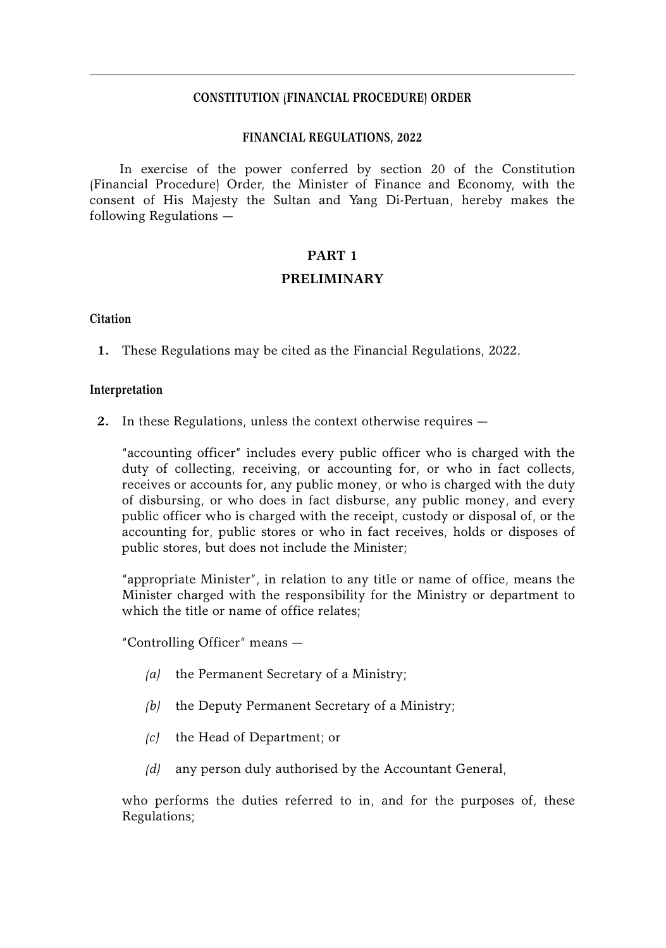#### **CONSTITUTION (FINANCIAL PROCEDURE) ORDER**

#### **FINANCIAL REGULATIONS, 2022**

In exercise of the power conferred by section 20 of the Constitution (Financial Procedure) Order, the Minister of Finance and Economy, with the consent of His Majesty the Sultan and Yang Di-Pertuan, hereby makes the following Regulations —

#### **PART 1**

#### **PRELIMINARY**

#### **Citation**

**1.** These Regulations may be cited as the Financial Regulations, 2022.

#### **Interpretation**

**2.** In these Regulations, unless the context otherwise requires —

"accounting officer" includes every public officer who is charged with the duty of collecting, receiving, or accounting for, or who in fact collects, receives or accounts for, any public money, or who is charged with the duty of disbursing, or who does in fact disburse, any public money, and every public officer who is charged with the receipt, custody or disposal of, or the accounting for, public stores or who in fact receives, holds or disposes of public stores, but does not include the Minister;

"appropriate Minister", in relation to any title or name of office, means the Minister charged with the responsibility for the Ministry or department to which the title or name of office relates;

"Controlling Officer" means —

- *(a)* the Permanent Secretary of a Ministry;
- *(b)* the Deputy Permanent Secretary of a Ministry;
- *(c)* the Head of Department; or
- *(d)* any person duly authorised by the Accountant General,

who performs the duties referred to in, and for the purposes of, these Regulations;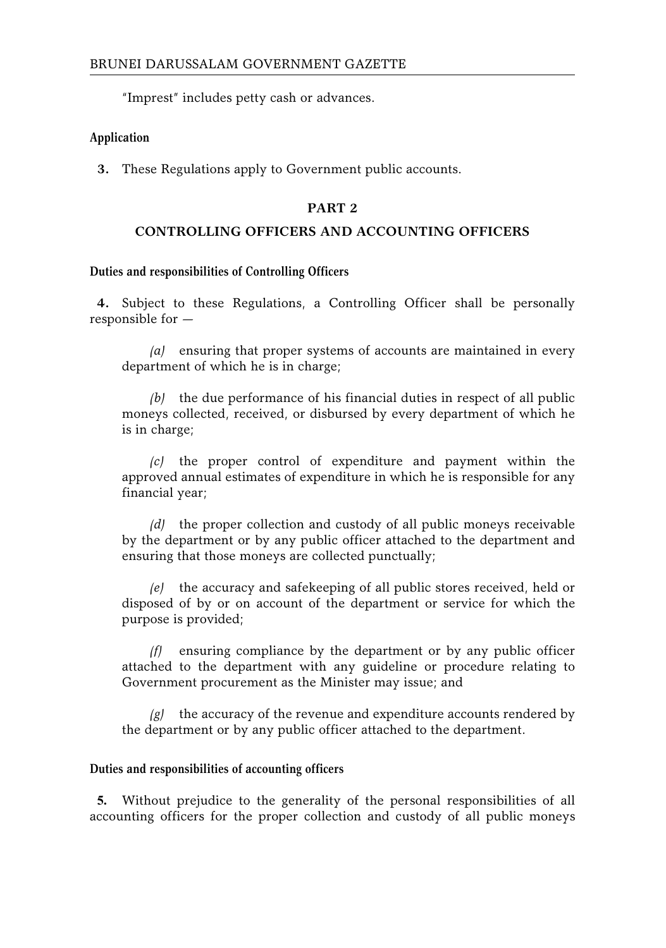"Imprest" includes petty cash or advances.

#### **Application**

**3.** These Regulations apply to Government public accounts.

# **PART 2**

# **CONTROLLING OFFICERS AND ACCOUNTING OFFICERS**

#### **Duties and responsibilities of Controlling Officers**

**4.** Subject to these Regulations, a Controlling Officer shall be personally responsible for —

*(a)* ensuring that proper systems of accounts are maintained in every department of which he is in charge;

*(b)* the due performance of his financial duties in respect of all public moneys collected, received, or disbursed by every department of which he is in charge;

*(c)* the proper control of expenditure and payment within the approved annual estimates of expenditure in which he is responsible for any financial year;

*(d)* the proper collection and custody of all public moneys receivable by the department or by any public officer attached to the department and ensuring that those moneys are collected punctually;

*(e)* the accuracy and safekeeping of all public stores received, held or disposed of by or on account of the department or service for which the purpose is provided;

*(f)* ensuring compliance by the department or by any public officer attached to the department with any guideline or procedure relating to Government procurement as the Minister may issue; and

*(g)* the accuracy of the revenue and expenditure accounts rendered by the department or by any public officer attached to the department.

#### **Duties and responsibilities of accounting officers**

**5.** Without prejudice to the generality of the personal responsibilities of all accounting officers for the proper collection and custody of all public moneys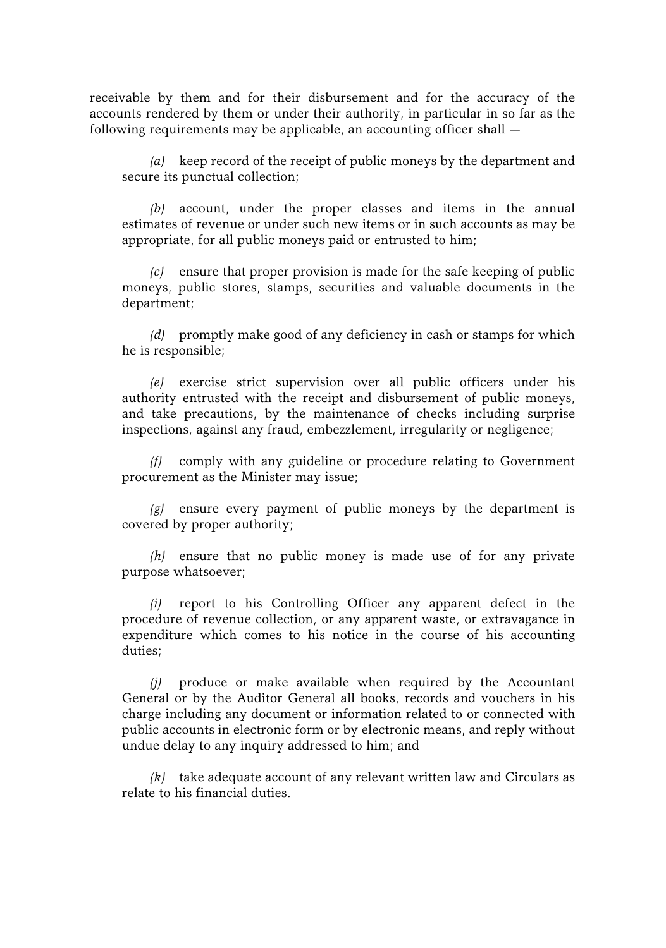receivable by them and for their disbursement and for the accuracy of the accounts rendered by them or under their authority, in particular in so far as the following requirements may be applicable, an accounting officer shall —

*(a)* keep record of the receipt of public moneys by the department and secure its punctual collection;

*(b)* account, under the proper classes and items in the annual estimates of revenue or under such new items or in such accounts as may be appropriate, for all public moneys paid or entrusted to him;

*(c)* ensure that proper provision is made for the safe keeping of public moneys, public stores, stamps, securities and valuable documents in the department;

*(d)* promptly make good of any deficiency in cash or stamps for which he is responsible;

*(e)* exercise strict supervision over all public officers under his authority entrusted with the receipt and disbursement of public moneys, and take precautions, by the maintenance of checks including surprise inspections, against any fraud, embezzlement, irregularity or negligence;

*(f)* comply with any guideline or procedure relating to Government procurement as the Minister may issue;

*(g)* ensure every payment of public moneys by the department is covered by proper authority;

*(h)* ensure that no public money is made use of for any private purpose whatsoever;

*(i)* report to his Controlling Officer any apparent defect in the procedure of revenue collection, or any apparent waste, or extravagance in expenditure which comes to his notice in the course of his accounting duties;

*(j)* produce or make available when required by the Accountant General or by the Auditor General all books, records and vouchers in his charge including any document or information related to or connected with public accounts in electronic form or by electronic means, and reply without undue delay to any inquiry addressed to him; and

*(k)* take adequate account of any relevant written law and Circulars as relate to his financial duties.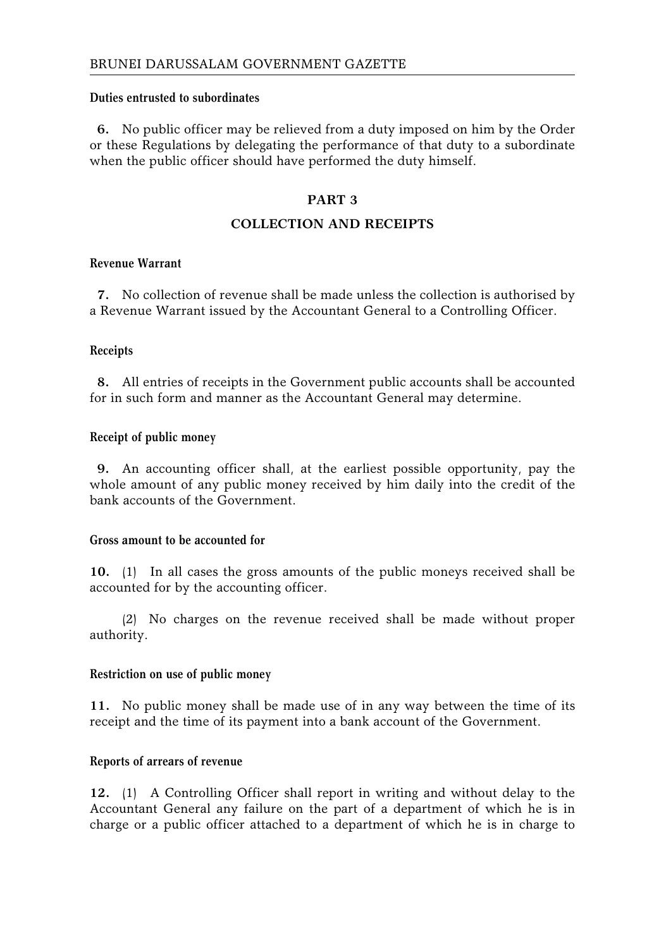#### **Duties entrusted to subordinates**

**6.** No public officer may be relieved from a duty imposed on him by the Order or these Regulations by delegating the performance of that duty to a subordinate when the public officer should have performed the duty himself.

# **PART 3**

# **COLLECTION AND RECEIPTS**

#### **Revenue Warrant**

**7.** No collection of revenue shall be made unless the collection is authorised by a Revenue Warrant issued by the Accountant General to a Controlling Officer.

#### **Receipts**

**8.** All entries of receipts in the Government public accounts shall be accounted for in such form and manner as the Accountant General may determine.

#### **Receipt of public money**

**9.** An accounting officer shall, at the earliest possible opportunity, pay the whole amount of any public money received by him daily into the credit of the bank accounts of the Government.

## **Gross amount to be accounted for**

**10.** (1) In all cases the gross amounts of the public moneys received shall be accounted for by the accounting officer.

(2) No charges on the revenue received shall be made without proper authority.

#### **Restriction on use of public money**

**11.** No public money shall be made use of in any way between the time of its receipt and the time of its payment into a bank account of the Government.

#### **Reports of arrears of revenue**

**12.** (1) A Controlling Officer shall report in writing and without delay to the Accountant General any failure on the part of a department of which he is in charge or a public officer attached to a department of which he is in charge to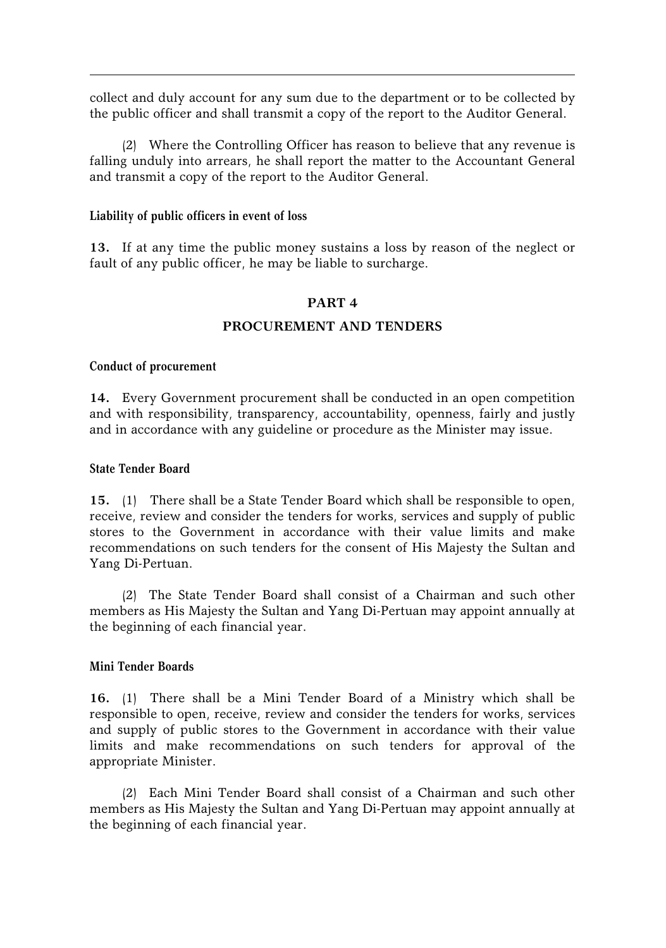collect and duly account for any sum due to the department or to be collected by the public officer and shall transmit a copy of the report to the Auditor General.

(2) Where the Controlling Officer has reason to believe that any revenue is falling unduly into arrears, he shall report the matter to the Accountant General and transmit a copy of the report to the Auditor General.

#### **Liability of public officers in event of loss**

**13.** If at any time the public money sustains a loss by reason of the neglect or fault of any public officer, he may be liable to surcharge.

#### **PART 4**

# **PROCUREMENT AND TENDERS**

#### **Conduct of procurement**

**14.** Every Government procurement shall be conducted in an open competition and with responsibility, transparency, accountability, openness, fairly and justly and in accordance with any guideline or procedure as the Minister may issue.

#### **State Tender Board**

**15.** (1) There shall be a State Tender Board which shall be responsible to open, receive, review and consider the tenders for works, services and supply of public stores to the Government in accordance with their value limits and make recommendations on such tenders for the consent of His Majesty the Sultan and Yang Di-Pertuan.

(2) The State Tender Board shall consist of a Chairman and such other members as His Majesty the Sultan and Yang Di-Pertuan may appoint annually at the beginning of each financial year.

#### **Mini Tender Boards**

**16.** (1) There shall be a Mini Tender Board of a Ministry which shall be responsible to open, receive, review and consider the tenders for works, services and supply of public stores to the Government in accordance with their value limits and make recommendations on such tenders for approval of the appropriate Minister.

(2) Each Mini Tender Board shall consist of a Chairman and such other members as His Majesty the Sultan and Yang Di-Pertuan may appoint annually at the beginning of each financial year.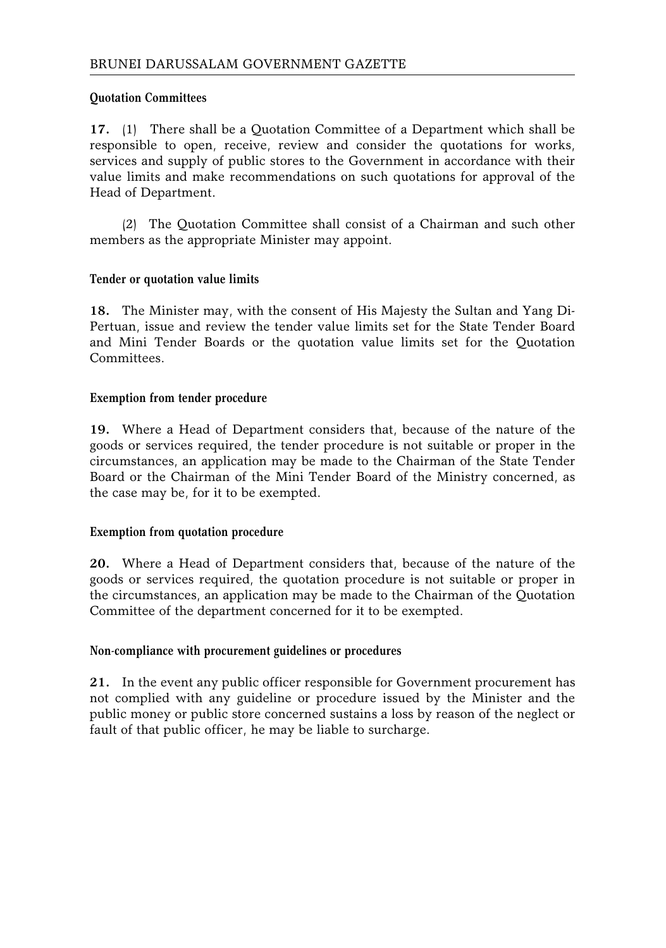# **Quotation Committees**

**17.** (1) There shall be a Quotation Committee of a Department which shall be responsible to open, receive, review and consider the quotations for works, services and supply of public stores to the Government in accordance with their value limits and make recommendations on such quotations for approval of the Head of Department.

(2) The Quotation Committee shall consist of a Chairman and such other members as the appropriate Minister may appoint.

# **Tender or quotation value limits**

**18.** The Minister may, with the consent of His Majesty the Sultan and Yang Di-Pertuan, issue and review the tender value limits set for the State Tender Board and Mini Tender Boards or the quotation value limits set for the Quotation **Committees** 

#### **Exemption from tender procedure**

**19.** Where a Head of Department considers that, because of the nature of the goods or services required, the tender procedure is not suitable or proper in the circumstances, an application may be made to the Chairman of the State Tender Board or the Chairman of the Mini Tender Board of the Ministry concerned, as the case may be, for it to be exempted.

#### **Exemption from quotation procedure**

**20.** Where a Head of Department considers that, because of the nature of the goods or services required, the quotation procedure is not suitable or proper in the circumstances, an application may be made to the Chairman of the Quotation Committee of the department concerned for it to be exempted.

## **Non-compliance with procurement guidelines or procedures**

**21.** In the event any public officer responsible for Government procurement has not complied with any guideline or procedure issued by the Minister and the public money or public store concerned sustains a loss by reason of the neglect or fault of that public officer, he may be liable to surcharge.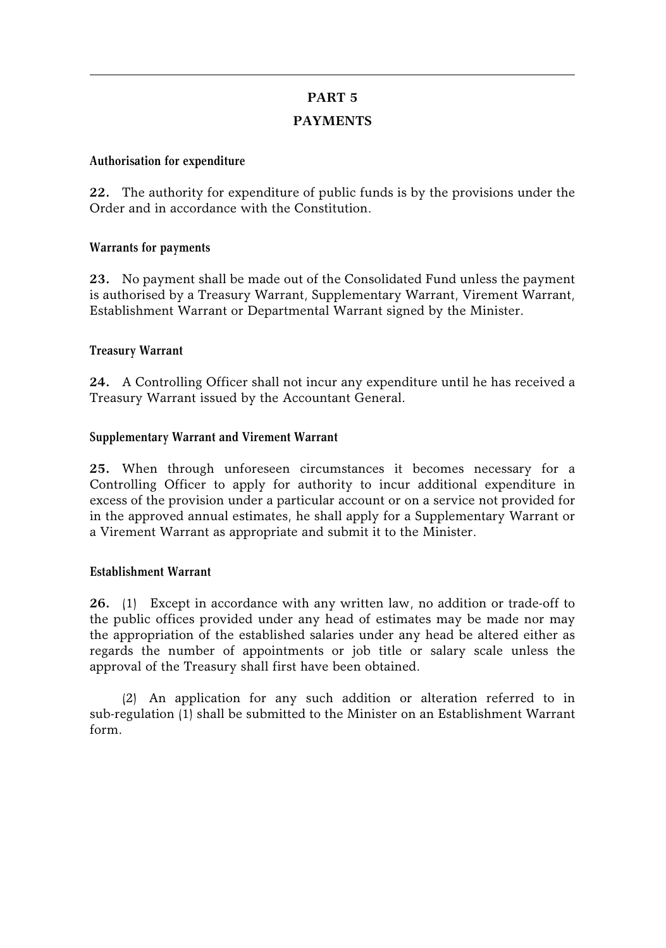# **PART 5 PAYMENTS**

#### **Authorisation for expenditure**

**22.** The authority for expenditure of public funds is by the provisions under the Order and in accordance with the Constitution.

# **Warrants for payments**

**23.** No payment shall be made out of the Consolidated Fund unless the payment is authorised by a Treasury Warrant, Supplementary Warrant, Virement Warrant, Establishment Warrant or Departmental Warrant signed by the Minister.

# **Treasury Warrant**

**24.** A Controlling Officer shall not incur any expenditure until he has received a Treasury Warrant issued by the Accountant General.

# **Supplementary Warrant and Virement Warrant**

**25.** When through unforeseen circumstances it becomes necessary for a Controlling Officer to apply for authority to incur additional expenditure in excess of the provision under a particular account or on a service not provided for in the approved annual estimates, he shall apply for a Supplementary Warrant or a Virement Warrant as appropriate and submit it to the Minister.

#### **Establishment Warrant**

**26.** (1) Except in accordance with any written law, no addition or trade-off to the public offices provided under any head of estimates may be made nor may the appropriation of the established salaries under any head be altered either as regards the number of appointments or job title or salary scale unless the approval of the Treasury shall first have been obtained.

(2) An application for any such addition or alteration referred to in sub-regulation (1) shall be submitted to the Minister on an Establishment Warrant form.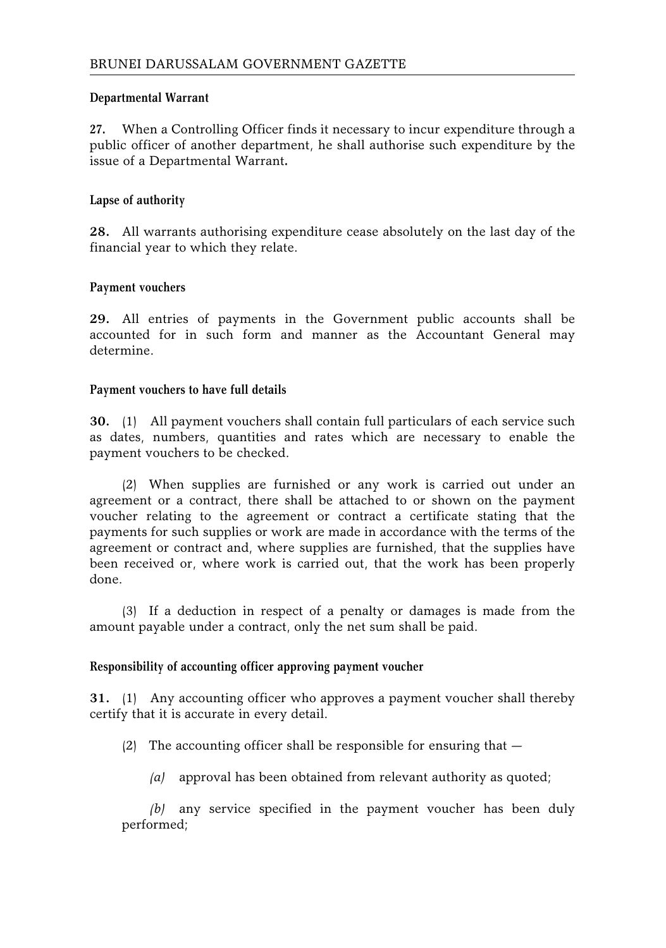# **Departmental Warrant**

**27.** When a Controlling Officer finds it necessary to incur expenditure through a public officer of another department, he shall authorise such expenditure by the issue of a Departmental Warrant**.**

# **Lapse of authority**

**28.** All warrants authorising expenditure cease absolutely on the last day of the financial year to which they relate.

# **Payment vouchers**

**29.** All entries of payments in the Government public accounts shall be accounted for in such form and manner as the Accountant General may determine.

# **Payment vouchers to have full details**

**30.** (1) All payment vouchers shall contain full particulars of each service such as dates, numbers, quantities and rates which are necessary to enable the payment vouchers to be checked.

(2) When supplies are furnished or any work is carried out under an agreement or a contract, there shall be attached to or shown on the payment voucher relating to the agreement or contract a certificate stating that the payments for such supplies or work are made in accordance with the terms of the agreement or contract and, where supplies are furnished, that the supplies have been received or, where work is carried out, that the work has been properly done.

(3) If a deduction in respect of a penalty or damages is made from the amount payable under a contract, only the net sum shall be paid.

# **Responsibility of accounting officer approving payment voucher**

**31.** (1) Any accounting officer who approves a payment voucher shall thereby certify that it is accurate in every detail.

- (2) The accounting officer shall be responsible for ensuring that  $-$ 
	- *(a)* approval has been obtained from relevant authority as quoted;

*(b)* any service specified in the payment voucher has been duly performed;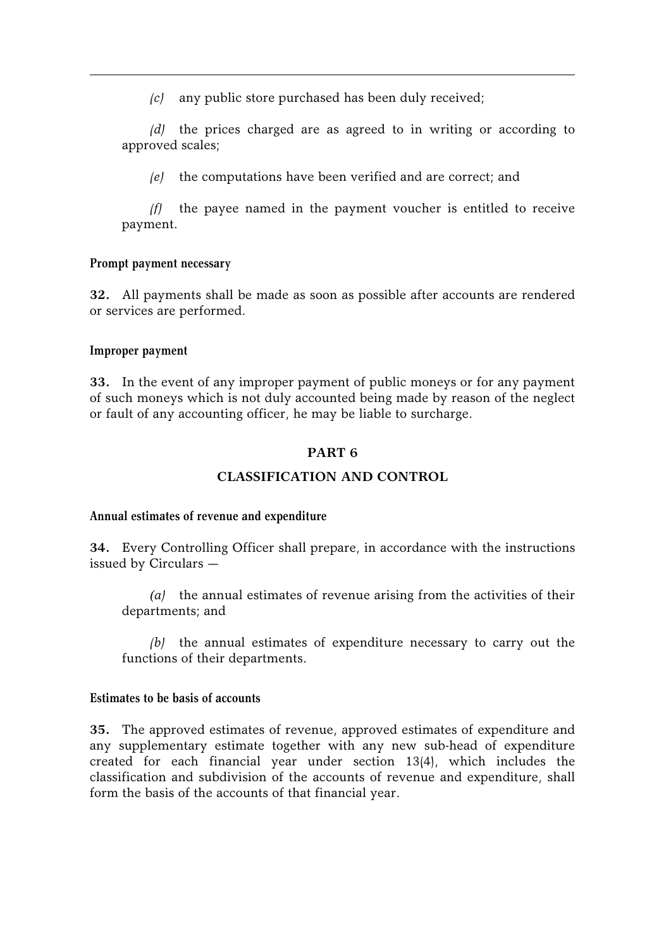*(c)* any public store purchased has been duly received;

*(d)* the prices charged are as agreed to in writing or according to approved scales;

*(e)* the computations have been verified and are correct; and

*(f)* the payee named in the payment voucher is entitled to receive payment.

#### **Prompt payment necessary**

**32.** All payments shall be made as soon as possible after accounts are rendered or services are performed.

#### **Improper payment**

**33.** In the event of any improper payment of public moneys or for any payment of such moneys which is not duly accounted being made by reason of the neglect or fault of any accounting officer, he may be liable to surcharge.

#### **PART 6**

# **CLASSIFICATION AND CONTROL**

#### **Annual estimates of revenue and expenditure**

**34.** Every Controlling Officer shall prepare, in accordance with the instructions issued by Circulars —

*(a)* the annual estimates of revenue arising from the activities of their departments; and

*(b)* the annual estimates of expenditure necessary to carry out the functions of their departments.

#### **Estimates to be basis of accounts**

**35.** The approved estimates of revenue, approved estimates of expenditure and any supplementary estimate together with any new sub-head of expenditure created for each financial year under section 13(4), which includes the classification and subdivision of the accounts of revenue and expenditure, shall form the basis of the accounts of that financial year.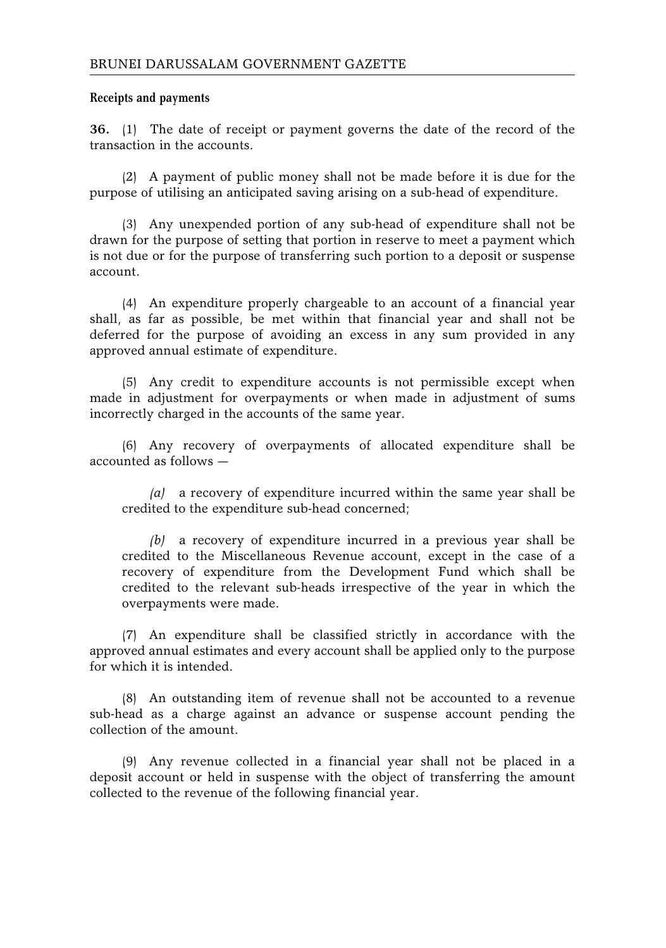#### **Receipts and payments**

**36.** (1) The date of receipt or payment governs the date of the record of the transaction in the accounts.

(2) A payment of public money shall not be made before it is due for the purpose of utilising an anticipated saving arising on a sub-head of expenditure.

(3) Any unexpended portion of any sub-head of expenditure shall not be drawn for the purpose of setting that portion in reserve to meet a payment which is not due or for the purpose of transferring such portion to a deposit or suspense account.

(4) An expenditure properly chargeable to an account of a financial year shall, as far as possible, be met within that financial year and shall not be deferred for the purpose of avoiding an excess in any sum provided in any approved annual estimate of expenditure.

(5) Any credit to expenditure accounts is not permissible except when made in adjustment for overpayments or when made in adjustment of sums incorrectly charged in the accounts of the same year.

(6) Any recovery of overpayments of allocated expenditure shall be accounted as follows —

*(a)* a recovery of expenditure incurred within the same year shall be credited to the expenditure sub-head concerned;

*(b)* a recovery of expenditure incurred in a previous year shall be credited to the Miscellaneous Revenue account, except in the case of a recovery of expenditure from the Development Fund which shall be credited to the relevant sub-heads irrespective of the year in which the overpayments were made.

(7) An expenditure shall be classified strictly in accordance with the approved annual estimates and every account shall be applied only to the purpose for which it is intended.

(8) An outstanding item of revenue shall not be accounted to a revenue sub-head as a charge against an advance or suspense account pending the collection of the amount.

(9) Any revenue collected in a financial year shall not be placed in a deposit account or held in suspense with the object of transferring the amount collected to the revenue of the following financial year.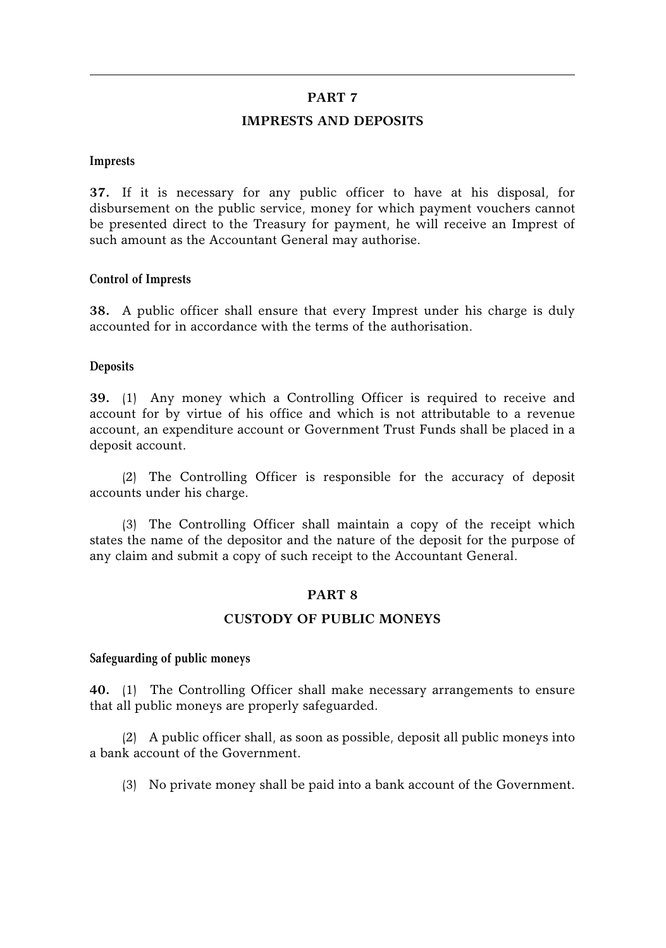#### **PART 7**

#### **IMPRESTS AND DEPOSITS**

#### **Imprests**

**37.** If it is necessary for any public officer to have at his disposal, for disbursement on the public service, money for which payment vouchers cannot be presented direct to the Treasury for payment, he will receive an Imprest of such amount as the Accountant General may authorise.

#### **Control of Imprests**

**38.** A public officer shall ensure that every Imprest under his charge is duly accounted for in accordance with the terms of the authorisation.

#### **Deposits**

**39.** (1) Any money which a Controlling Officer is required to receive and account for by virtue of his office and which is not attributable to a revenue account, an expenditure account or Government Trust Funds shall be placed in a deposit account.

(2) The Controlling Officer is responsible for the accuracy of deposit accounts under his charge.

(3) The Controlling Officer shall maintain a copy of the receipt which states the name of the depositor and the nature of the deposit for the purpose of any claim and submit a copy of such receipt to the Accountant General.

# **PART 8**

#### **CUSTODY OF PUBLIC MONEYS**

#### **Safeguarding of public moneys**

**40.** (1) The Controlling Officer shall make necessary arrangements to ensure that all public moneys are properly safeguarded.

(2) A public officer shall, as soon as possible, deposit all public moneys into a bank account of the Government.

(3) No private money shall be paid into a bank account of the Government.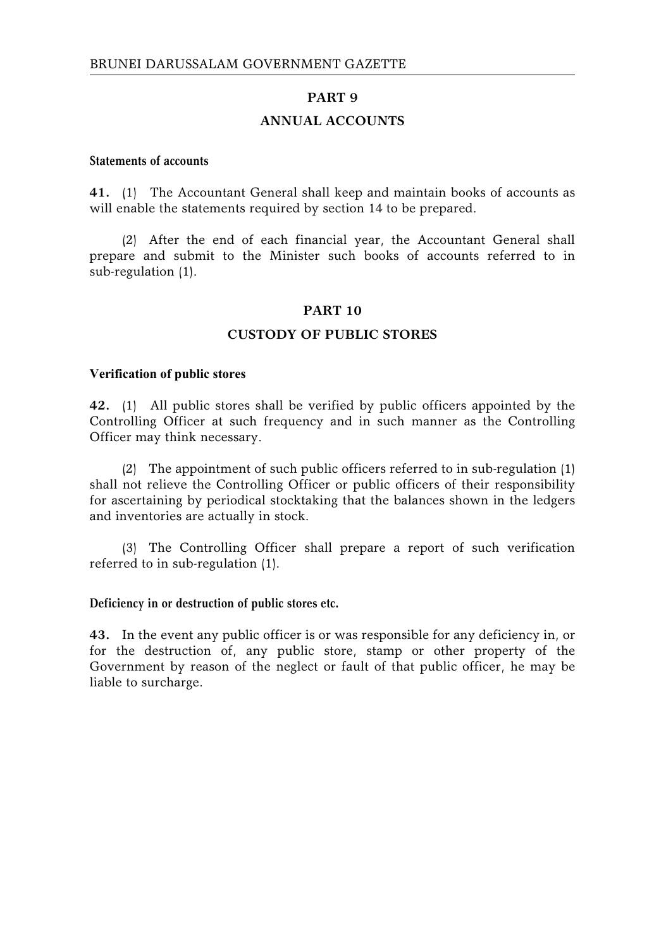# **PART 9**

# **ANNUAL ACCOUNTS**

#### **Statements of accounts**

**41.** (1) The Accountant General shall keep and maintain books of accounts as will enable the statements required by section 14 to be prepared.

(2) After the end of each financial year, the Accountant General shall prepare and submit to the Minister such books of accounts referred to in sub-regulation (1).

#### **PART 10**

## **CUSTODY OF PUBLIC STORES**

#### **Verification of public stores**

**42.** (1) All public stores shall be verified by public officers appointed by the Controlling Officer at such frequency and in such manner as the Controlling Officer may think necessary.

(2) The appointment of such public officers referred to in sub-regulation (1) shall not relieve the Controlling Officer or public officers of their responsibility for ascertaining by periodical stocktaking that the balances shown in the ledgers and inventories are actually in stock.

(3) The Controlling Officer shall prepare a report of such verification referred to in sub-regulation (1).

#### **Deficiency in or destruction of public stores etc.**

**43.** In the event any public officer is or was responsible for any deficiency in, or for the destruction of, any public store, stamp or other property of the Government by reason of the neglect or fault of that public officer, he may be liable to surcharge.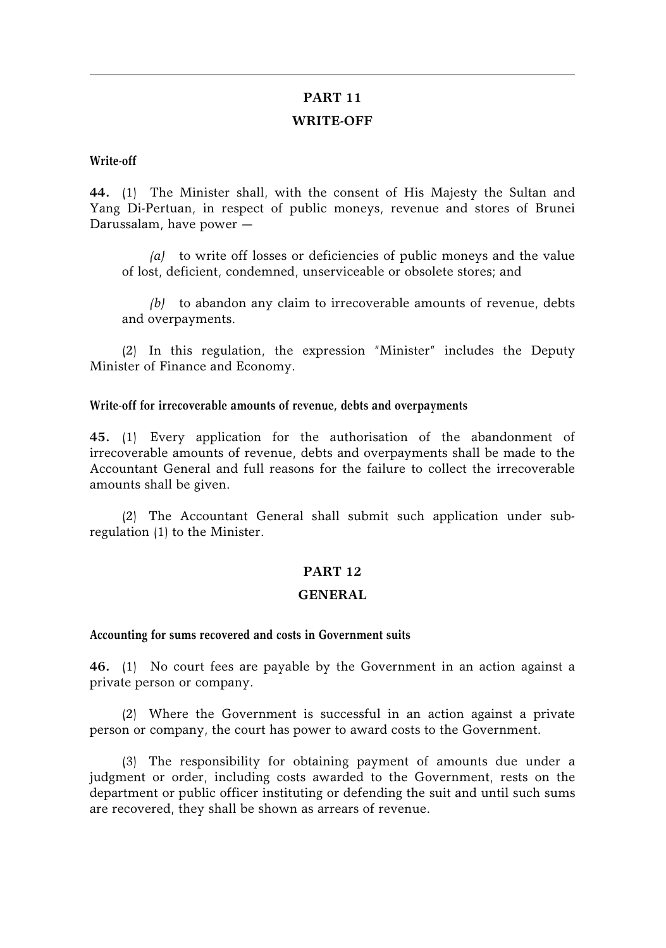# **PART 11 WRITE-OFF**

#### **Write-off**

**44.** (1) The Minister shall, with the consent of His Majesty the Sultan and Yang Di-Pertuan, in respect of public moneys, revenue and stores of Brunei Darussalam, have power —

*(a)* to write off losses or deficiencies of public moneys and the value of lost, deficient, condemned, unserviceable or obsolete stores; and

*(b)* to abandon any claim to irrecoverable amounts of revenue, debts and overpayments.

(2) In this regulation, the expression "Minister" includes the Deputy Minister of Finance and Economy.

#### **Write-off for irrecoverable amounts of revenue, debts and overpayments**

**45.** (1) Every application for the authorisation of the abandonment of irrecoverable amounts of revenue, debts and overpayments shall be made to the Accountant General and full reasons for the failure to collect the irrecoverable amounts shall be given.

(2) The Accountant General shall submit such application under subregulation (1) to the Minister.

# **PART 12**

#### **GENERAL**

#### **Accounting for sums recovered and costs in Government suits**

**46.** (1) No court fees are payable by the Government in an action against a private person or company.

(2) Where the Government is successful in an action against a private person or company, the court has power to award costs to the Government.

(3) The responsibility for obtaining payment of amounts due under a judgment or order, including costs awarded to the Government, rests on the department or public officer instituting or defending the suit and until such sums are recovered, they shall be shown as arrears of revenue.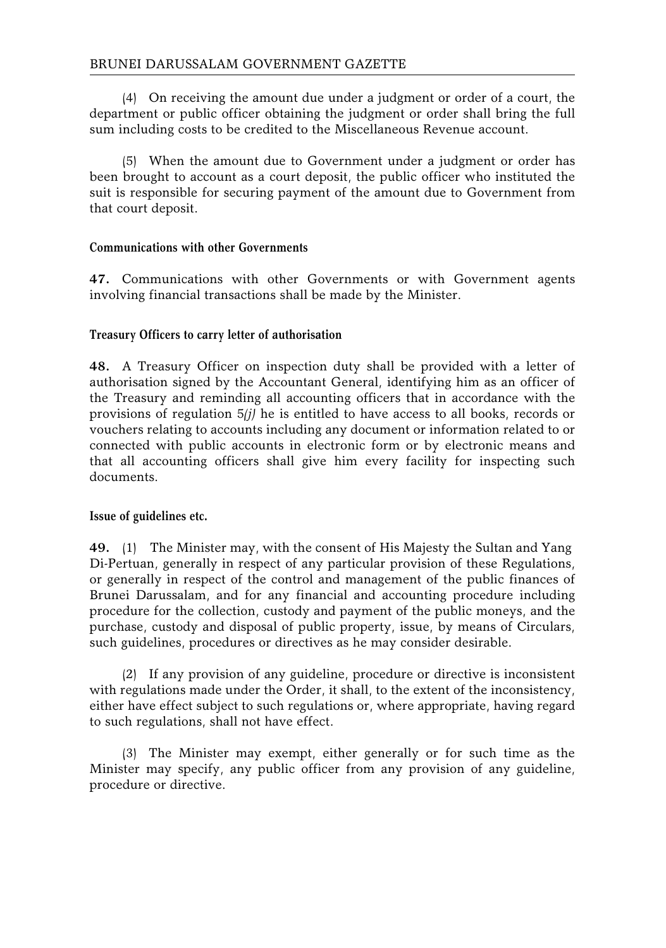(4) On receiving the amount due under a judgment or order of a court, the department or public officer obtaining the judgment or order shall bring the full sum including costs to be credited to the Miscellaneous Revenue account.

(5) When the amount due to Government under a judgment or order has been brought to account as a court deposit, the public officer who instituted the suit is responsible for securing payment of the amount due to Government from that court deposit.

# **Communications with other Governments**

**47.** Communications with other Governments or with Government agents involving financial transactions shall be made by the Minister.

# **Treasury Officers to carry letter of authorisation**

**48.** A Treasury Officer on inspection duty shall be provided with a letter of authorisation signed by the Accountant General, identifying him as an officer of the Treasury and reminding all accounting officers that in accordance with the provisions of regulation 5*(j)* he is entitled to have access to all books, records or vouchers relating to accounts including any document or information related to or connected with public accounts in electronic form or by electronic means and that all accounting officers shall give him every facility for inspecting such documents.

#### **Issue of guidelines etc.**

**49.** (1) The Minister may, with the consent of His Majesty the Sultan and Yang Di-Pertuan, generally in respect of any particular provision of these Regulations, or generally in respect of the control and management of the public finances of Brunei Darussalam, and for any financial and accounting procedure including procedure for the collection, custody and payment of the public moneys, and the purchase, custody and disposal of public property, issue, by means of Circulars, such guidelines, procedures or directives as he may consider desirable.

(2) If any provision of any guideline, procedure or directive is inconsistent with regulations made under the Order, it shall, to the extent of the inconsistency, either have effect subject to such regulations or, where appropriate, having regard to such regulations, shall not have effect.

(3) The Minister may exempt, either generally or for such time as the Minister may specify, any public officer from any provision of any guideline, procedure or directive.